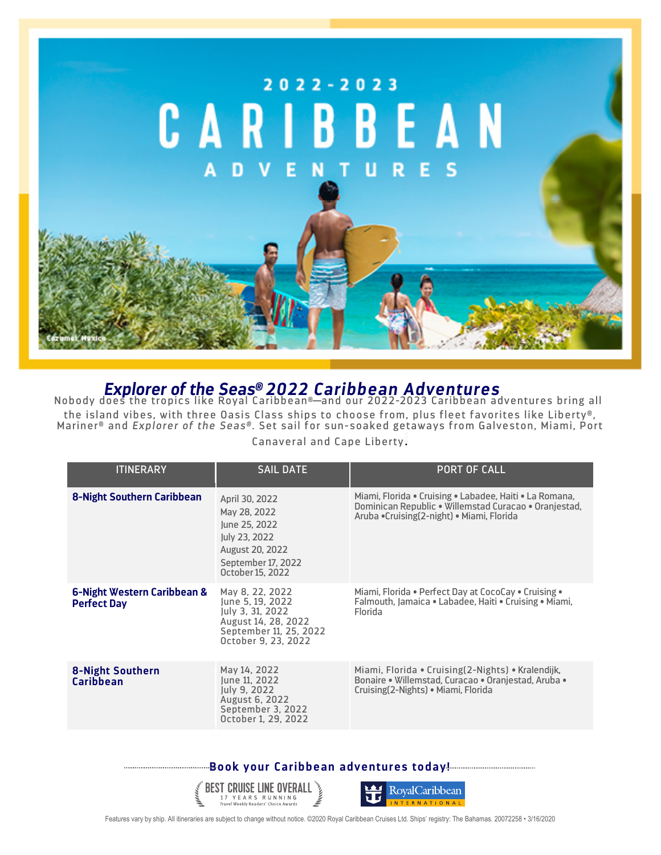

*Explorer of the Seas® 2022 Caribbean Adventures* Nobody does the tropics like Royal Caribbean®—and our 2022-2023 Caribbean adventures bring all the island vibes, with three Oasis Class ships to choose from, plus fleet favorites like Liberty®, Mariner® and *Explorer of the Seas®.* Set sail for sun-soaked getaways from Galveston, Miami, Port

Canaveral and Cape Liberty.

| <b>ITINERARY</b>                                  | <b>SAIL DATE</b>                                                                                                                     | <b>PORT OF CALL</b>                                                                                                                                           |
|---------------------------------------------------|--------------------------------------------------------------------------------------------------------------------------------------|---------------------------------------------------------------------------------------------------------------------------------------------------------------|
| <b>8-Night Southern Caribbean</b>                 | April 30, 2022<br>May 28, 2022<br>June 25, 2022<br>July 23, 2022<br><b>August 20, 2022</b><br>September 17, 2022<br>October 15, 2022 | Miami, Florida • Cruising • Labadee, Haiti • La Romana,<br>Dominican Republic • Willemstad Curacao • Oranjestad,<br>Aruba •Cruising(2-night) • Miami, Florida |
| 6-Night Western Caribbean &<br><b>Perfect Day</b> | May 8, 22, 2022<br>June 5, 19, 2022<br>July 3, 31, 2022<br>August 14, 28, 2022<br>September 11, 25, 2022<br>October 9, 23, 2022      | Miami, Florida • Perfect Day at CocoCay • Cruising •<br>Falmouth, Jamaica • Labadee, Haiti • Cruising • Miami,<br>Florida                                     |
| 8-Night Southern<br><b>Caribbean</b>              | May 14, 2022<br>June 11, 2022<br>July 9, 2022<br>August 6, 2022<br>September 3, 2022<br>October 1, 29, 2022                          | Miami, Florida • Cruising (2-Nights) • Kralendijk,<br>Bonaire • Willemstad, Curacao • Oranjestad, Aruba •<br>Cruising (2-Nights) • Miami, Florida             |

**Book your Caribbean adventures today!**





Features vary by ship. All itineraries are subject to change without notice. ©2020 Royal Caribbean Cruises Ltd. Ships' registry: The Bahamas. 20072258 • 3/16/2020